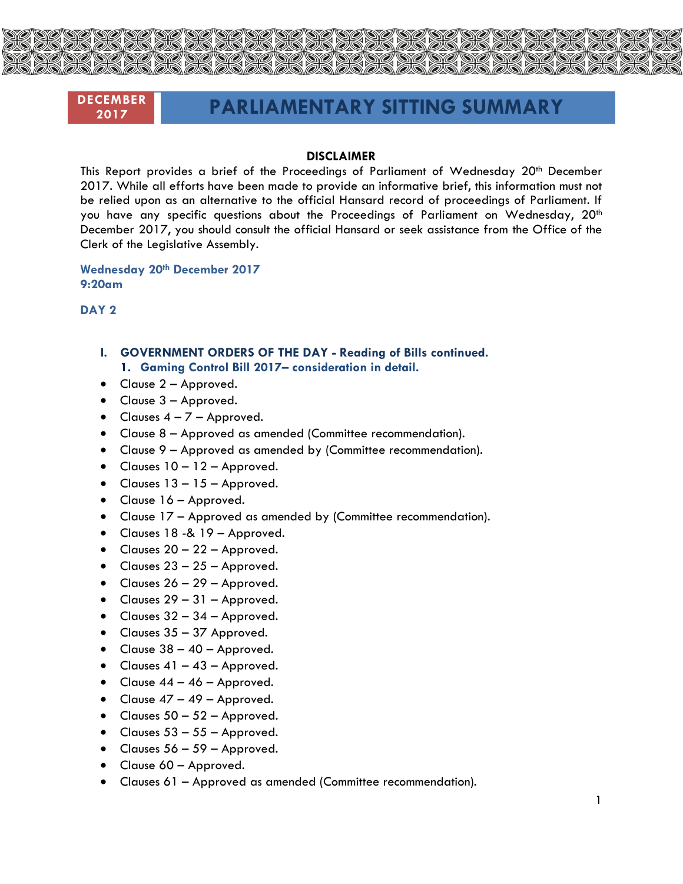

# **DECEMBER**

# **<sup>2017</sup> PARLIAMENTARY SITTING SUMMARY**

#### **DISCLAIMER**

This Report provides a brief of the Proceedings of Parliament of Wednesday 20<sup>th</sup> December 2017. While all efforts have been made to provide an informative brief, this information must not be relied upon as an alternative to the official Hansard record of proceedings of Parliament. If you have any specific questions about the Proceedings of Parliament on Wednesday, 20<sup>th</sup> December 2017, you should consult the official Hansard or seek assistance from the Office of the Clerk of the Legislative Assembly.

**Wednesday 20th December 2017 9:20am**

**DAY 2**

- **I. GOVERNMENT ORDERS OF THE DAY - Reading of Bills continued. 1. Gaming Control Bill 2017– consideration in detail.**
- Clause 2 Approved.
- Clause 3 Approved.
- $\bullet$  Clauses  $4 7 -$  Approved.
- Clause 8 Approved as amended (Committee recommendation).
- Clause 9 Approved as amended by (Committee recommendation).
- $\bullet$  Clauses  $10 12 -$  Approved.
- Clauses  $13 15$  Approved.
- Clause 16 Approved.
- Clause 17 Approved as amended by (Committee recommendation).
- Clauses 18 -& 19 Approved.
- Clauses  $20 22 -$  Approved.
- $\bullet$  Clauses 23 25 Approved.
- $\bullet$  Clauses 26 29 Approved.
- $\bullet$  Clauses 29 31 Approved.
- Clauses  $32 34$  Approved.
- Clauses 35 37 Approved.
- $\bullet$  Clause 38 40 Approved.
- Clauses  $41 43$  Approved.
- Clause  $44 46$  Approved.
- Clause  $47 49 -$  Approved.
- Clauses  $50 52 -$  Approved.
- Clauses  $53 55$  Approved.
- Clauses  $56 59$  Approved.
- Clause 60 Approved.
- Clauses 61 Approved as amended (Committee recommendation).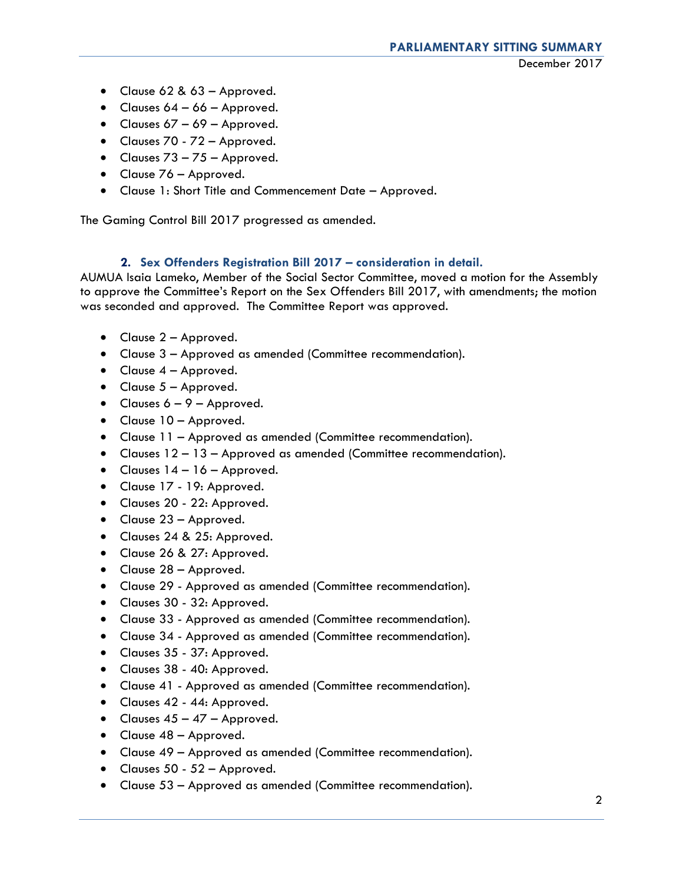- Clause 62 & 63 Approved.
- Clauses  $64 66$  Approved.
- Clauses  $67 69$  Approved.
- Clauses 70 72 Approved.
- Clauses  $73 75$  Approved.
- Clause 76 Approved.
- Clause 1: Short Title and Commencement Date Approved.

The Gaming Control Bill 2017 progressed as amended.

# **2. Sex Offenders Registration Bill 2017 – consideration in detail.**

AUMUA Isaia Lameko, Member of the Social Sector Committee, moved a motion for the Assembly to approve the Committee's Report on the Sex Offenders Bill 2017, with amendments; the motion was seconded and approved. The Committee Report was approved.

- Clause 2 Approved.
- Clause 3 Approved as amended (Committee recommendation).
- Clause 4 Approved.
- $\bullet$  Clause  $5 -$ Approved.
- Clauses  $6 9 -$  Approved.
- Clause 10 Approved.
- Clause 11 Approved as amended (Committee recommendation).
- Clauses 12 13 Approved as amended (Committee recommendation).
- $\bullet$  Clauses 14 16 Approved.
- Clause 17 19: Approved.
- Clauses 20 22: Approved.
- Clause 23 Approved.
- Clauses 24 & 25: Approved.
- Clause 26 & 27: Approved.
- Clause 28 Approved.
- Clause 29 Approved as amended (Committee recommendation).
- Clauses 30 32: Approved.
- Clause 33 Approved as amended (Committee recommendation).
- Clause 34 Approved as amended (Committee recommendation).
- Clauses 35 37: Approved.
- Clauses 38 40: Approved.
- Clause 41 Approved as amended (Committee recommendation).
- Clauses 42 44: Approved.
- Clauses  $45 47$  Approved.
- Clause 48 Approved.
- Clause 49 Approved as amended (Committee recommendation).
- Clauses 50 52 Approved.
- Clause 53 Approved as amended (Committee recommendation).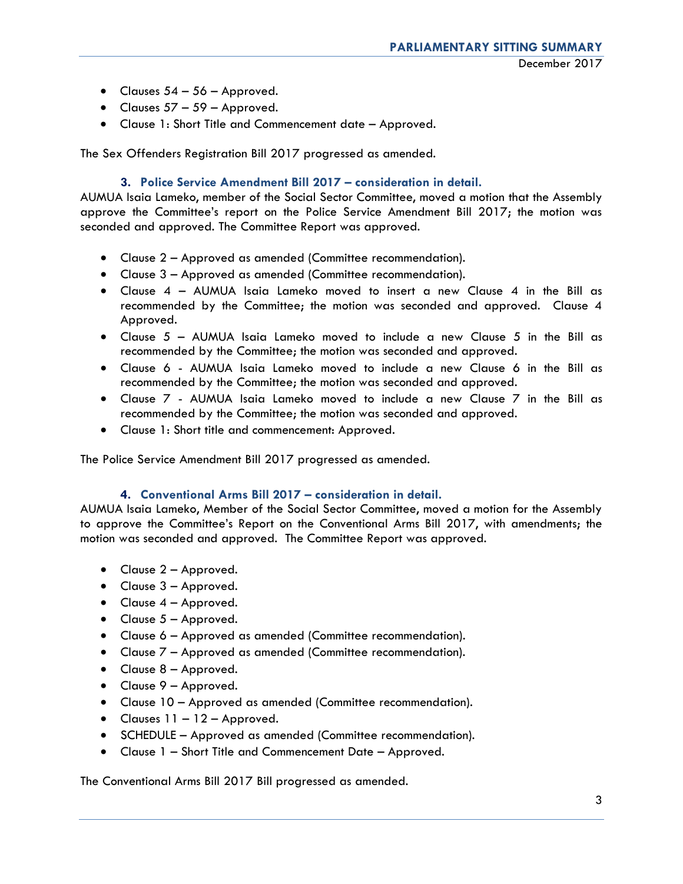- Clauses  $54 56$  Approved.
- Clauses  $57 59$  Approved.
- Clause 1: Short Title and Commencement date Approved.

The Sex Offenders Registration Bill 2017 progressed as amended.

# **3. Police Service Amendment Bill 2017 – consideration in detail.**

AUMUA Isaia Lameko, member of the Social Sector Committee, moved a motion that the Assembly approve the Committee's report on the Police Service Amendment Bill 2017; the motion was seconded and approved. The Committee Report was approved.

- Clause 2 Approved as amended (Committee recommendation).
- Clause 3 Approved as amended (Committee recommendation).
- Clause 4 AUMUA Isaia Lameko moved to insert a new Clause 4 in the Bill as recommended by the Committee; the motion was seconded and approved. Clause 4 Approved.
- Clause 5 AUMUA Isaia Lameko moved to include a new Clause 5 in the Bill as recommended by the Committee; the motion was seconded and approved.
- Clause 6 AUMUA Isaia Lameko moved to include a new Clause 6 in the Bill as recommended by the Committee; the motion was seconded and approved.
- Clause 7 AUMUA Isaia Lameko moved to include a new Clause 7 in the Bill as recommended by the Committee; the motion was seconded and approved.
- Clause 1: Short title and commencement: Approved.

The Police Service Amendment Bill 2017 progressed as amended.

### **4. Conventional Arms Bill 2017 – consideration in detail.**

AUMUA Isaia Lameko, Member of the Social Sector Committee, moved a motion for the Assembly to approve the Committee's Report on the Conventional Arms Bill 2017, with amendments; the motion was seconded and approved. The Committee Report was approved.

- Clause 2 Approved.
- Clause 3 Approved.
- $\bullet$  Clause  $4$  Approved.
- $\bullet$  Clause  $5 -$  Approved.
- Clause 6 Approved as amended (Committee recommendation).
- Clause 7 Approved as amended (Committee recommendation).
- Clause 8 Approved.
- Clause 9 Approved.
- Clause 10 Approved as amended (Committee recommendation).
- $\bullet$  Clauses 11 12 Approved.
- SCHEDULE Approved as amended (Committee recommendation).
- Clause 1 Short Title and Commencement Date Approved.

The Conventional Arms Bill 2017 Bill progressed as amended.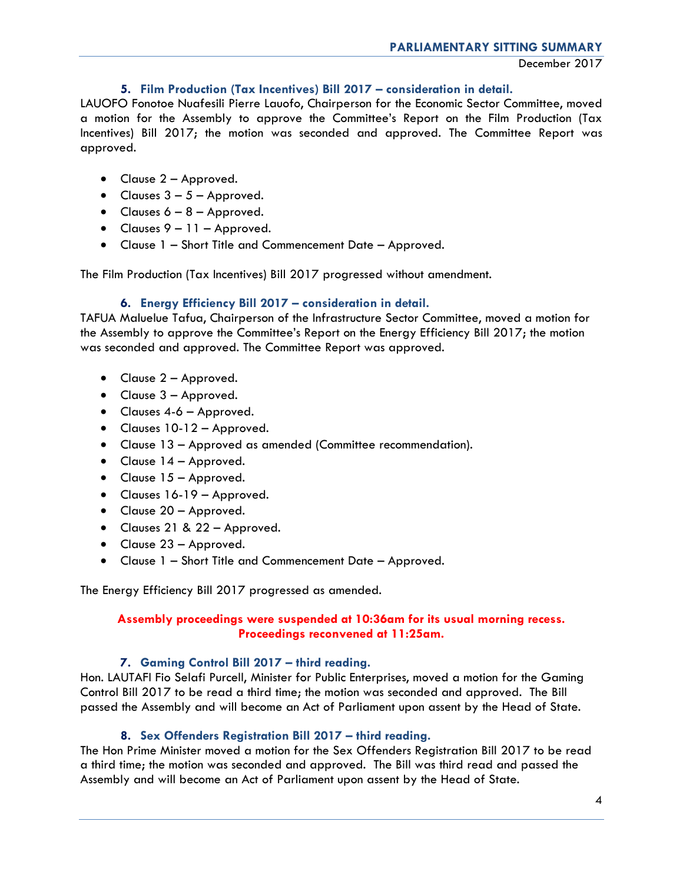December 2017

# **5. Film Production (Tax Incentives) Bill 2017 – consideration in detail.**

LAUOFO Fonotoe Nuafesili Pierre Lauofo, Chairperson for the Economic Sector Committee, moved a motion for the Assembly to approve the Committee's Report on the Film Production (Tax Incentives) Bill 2017; the motion was seconded and approved. The Committee Report was approved.

- Clause 2 Approved.
- Clauses  $3 5$  Approved.
- Clauses  $6 8 -$  Approved.
- $\bullet$  Clauses  $9 11 -$  Approved.
- Clause 1 Short Title and Commencement Date Approved.

The Film Production (Tax Incentives) Bill 2017 progressed without amendment.

# **6. Energy Efficiency Bill 2017 – consideration in detail.**

TAFUA Maluelue Tafua, Chairperson of the Infrastructure Sector Committee, moved a motion for the Assembly to approve the Committee's Report on the Energy Efficiency Bill 2017; the motion was seconded and approved. The Committee Report was approved.

- Clause 2 Approved.
- Clause 3 Approved.
- Clauses 4-6 Approved.
- Clauses 10-12 Approved.
- Clause 13 Approved as amended (Committee recommendation).
- Clause 14 Approved.
- Clause 15 Approved.
- Clauses 16-19 Approved.
- Clause 20 Approved.
- Clauses 21 & 22 Approved.
- Clause 23 Approved.
- Clause 1 Short Title and Commencement Date Approved.

The Energy Efficiency Bill 2017 progressed as amended.

# **Assembly proceedings were suspended at 10:36am for its usual morning recess. Proceedings reconvened at 11:25am.**

# **7. Gaming Control Bill 2017 – third reading.**

Hon. LAUTAFI Fio Selafi Purcell, Minister for Public Enterprises, moved a motion for the Gaming Control Bill 2017 to be read a third time; the motion was seconded and approved. The Bill passed the Assembly and will become an Act of Parliament upon assent by the Head of State.

# **8. Sex Offenders Registration Bill 2017 – third reading.**

The Hon Prime Minister moved a motion for the Sex Offenders Registration Bill 2017 to be read a third time; the motion was seconded and approved. The Bill was third read and passed the Assembly and will become an Act of Parliament upon assent by the Head of State.